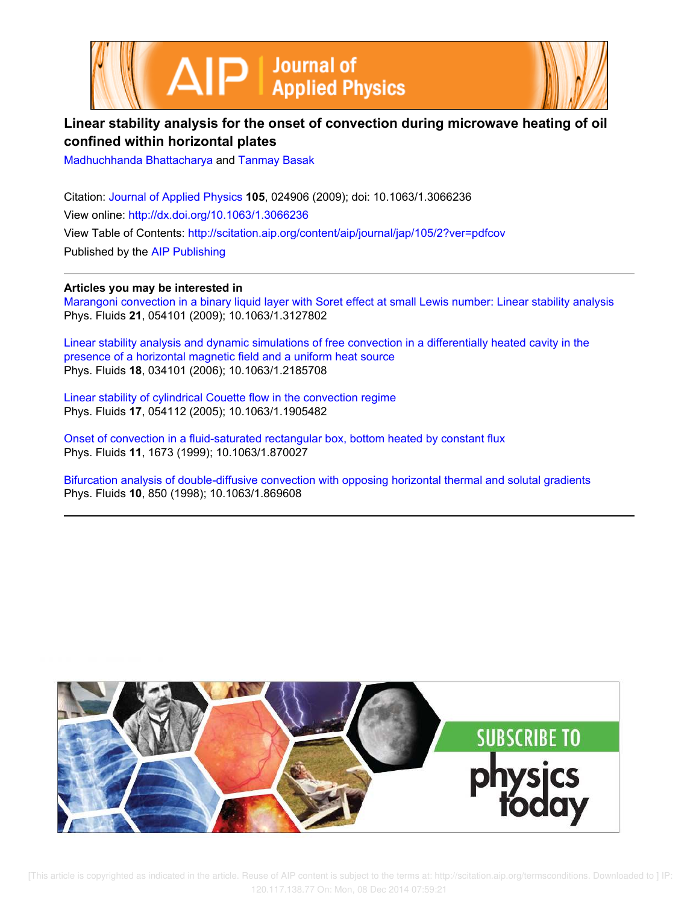



# **Linear stability analysis for the onset of convection during microwave heating of oil confined within horizontal plates**

Madhuchhanda Bhattacharya and Tanmay Basak

Citation: Journal of Applied Physics **105**, 024906 (2009); doi: 10.1063/1.3066236 View online: http://dx.doi.org/10.1063/1.3066236 View Table of Contents: http://scitation.aip.org/content/aip/journal/jap/105/2?ver=pdfcov Published by the AIP Publishing

**Articles you may be interested in**

Marangoni convection in a binary liquid layer with Soret effect at small Lewis number: Linear stability analysis Phys. Fluids **21**, 054101 (2009); 10.1063/1.3127802

Linear stability analysis and dynamic simulations of free convection in a differentially heated cavity in the presence of a horizontal magnetic field and a uniform heat source Phys. Fluids **18**, 034101 (2006); 10.1063/1.2185708

Linear stability of cylindrical Couette flow in the convection regime Phys. Fluids **17**, 054112 (2005); 10.1063/1.1905482

Onset of convection in a fluid-saturated rectangular box, bottom heated by constant flux Phys. Fluids **11**, 1673 (1999); 10.1063/1.870027

Bifurcation analysis of double-diffusive convection with opposing horizontal thermal and solutal gradients Phys. Fluids **10**, 850 (1998); 10.1063/1.869608

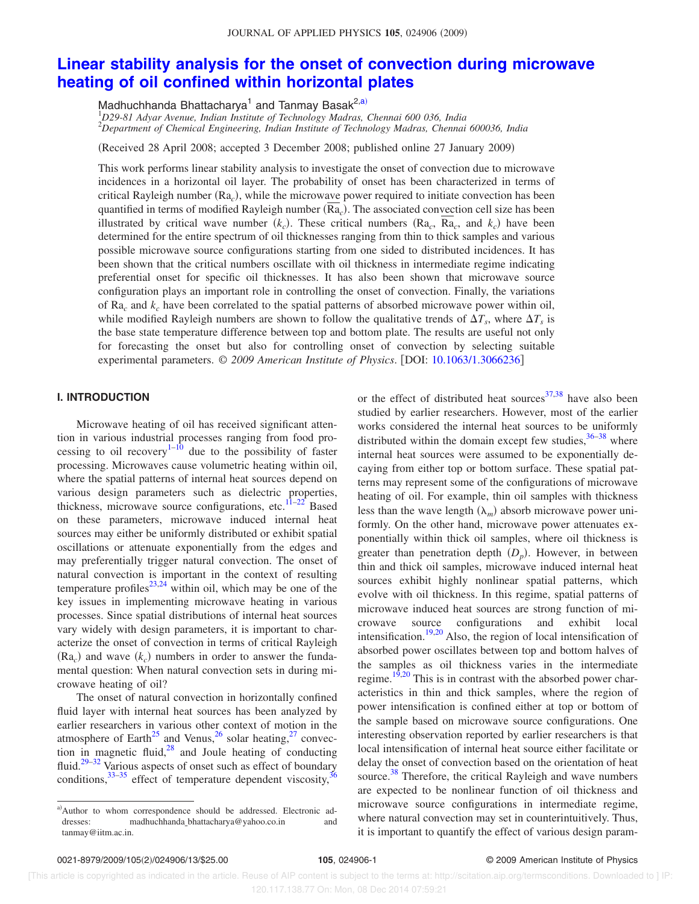## **Linear stability analysis for the onset of convection during microwave heating of oil confined within horizontal plates**

Madhuchhanda Bhattacharya<sup>1</sup> and Tanmay Basak<sup>2,a)</sup>

<sup>1</sup>*D29-81 Adyar Avenue, Indian Institute of Technology Madras, Chennai 600 036, India* <sup>2</sup>*Department of Chemical Engineering, Indian Institute of Technology Madras, Chennai 600036, India*

(Received 28 April 2008; accepted 3 December 2008; published online 27 January 2009)

This work performs linear stability analysis to investigate the onset of convection due to microwave incidences in a horizontal oil layer. The probability of onset has been characterized in terms of critical Rayleigh number (Ra<sub>c</sub>), while the microwave power required to initiate convection has been quantified in terms of modified Rayleigh number (Ra<sub>c</sub>). The associated convection cell size has been illustrated by critical wave number  $(k_c)$ . These critical numbers  $(Ra_c, Ra_c,$  and  $k_c)$  have been determined for the entire spectrum of oil thicknesses ranging from thin to thick samples and various possible microwave source configurations starting from one sided to distributed incidences. It has been shown that the critical numbers oscillate with oil thickness in intermediate regime indicating preferential onset for specific oil thicknesses. It has also been shown that microwave source configuration plays an important role in controlling the onset of convection. Finally, the variations of Ra*<sup>c</sup>* and *k<sup>c</sup>* have been correlated to the spatial patterns of absorbed microwave power within oil, while modified Rayleigh numbers are shown to follow the qualitative trends of  $\Delta T_s$ , where  $\Delta T_s$  is the base state temperature difference between top and bottom plate. The results are useful not only for forecasting the onset but also for controlling onset of convection by selecting suitable experimental parameters. © *2009 American Institute of Physics*. DOI: 10.1063/1.3066236

## **I. INTRODUCTION**

Microwave heating of oil has received significant attention in various industrial processes ranging from food processing to oil recovery<sup>1–10</sup> due to the possibility of faster processing. Microwaves cause volumetric heating within oil, where the spatial patterns of internal heat sources depend on various design parameters such as dielectric properties, thickness, microwave source configurations, etc. $11-22$  Based on these parameters, microwave induced internal heat sources may either be uniformly distributed or exhibit spatial oscillations or attenuate exponentially from the edges and may preferentially trigger natural convection. The onset of natural convection is important in the context of resulting temperature profiles<sup>23,24</sup> within oil, which may be one of the key issues in implementing microwave heating in various processes. Since spatial distributions of internal heat sources vary widely with design parameters, it is important to characterize the onset of convection in terms of critical Rayleigh  $(Ra_c)$  and wave  $(k_c)$  numbers in order to answer the fundamental question: When natural convection sets in during microwave heating of oil?

The onset of natural convection in horizontally confined fluid layer with internal heat sources has been analyzed by earlier researchers in various other context of motion in the atmosphere of Earth<sup>25</sup> and Venus,<sup>26</sup> solar heating,<sup>27</sup> convection in magnetic fluid, $28$  and Joule heating of conducting fluid.<sup>29–32</sup> Various aspects of onset such as effect of boundary conditions,  $33-35$  effect of temperature dependent viscosity,  $36$ 

or the effect of distributed heat sources $37,38$  have also been studied by earlier researchers. However, most of the earlier works considered the internal heat sources to be uniformly distributed within the domain except few studies,  $36-38$  where internal heat sources were assumed to be exponentially decaying from either top or bottom surface. These spatial patterns may represent some of the configurations of microwave heating of oil. For example, thin oil samples with thickness less than the wave length  $(\lambda_m)$  absorb microwave power uniformly. On the other hand, microwave power attenuates exponentially within thick oil samples, where oil thickness is greater than penetration depth  $(D_p)$ . However, in between thin and thick oil samples, microwave induced internal heat sources exhibit highly nonlinear spatial patterns, which evolve with oil thickness. In this regime, spatial patterns of microwave induced heat sources are strong function of microwave source configurations and exhibit local intensification.<sup>19,20</sup> Also, the region of local intensification of absorbed power oscillates between top and bottom halves of the samples as oil thickness varies in the intermediate regime.<sup>19,20</sup> This is in contrast with the absorbed power characteristics in thin and thick samples, where the region of power intensification is confined either at top or bottom of the sample based on microwave source configurations. One interesting observation reported by earlier researchers is that local intensification of internal heat source either facilitate or delay the onset of convection based on the orientation of heat source.<sup>38</sup> Therefore, the critical Rayleigh and wave numbers are expected to be nonlinear function of oil thickness and microwave source configurations in intermediate regime, where natural convection may set in counterintuitively. Thus, it is important to quantify the effect of various design param-

a)Author to whom correspondence should be addressed. Electronic addresses: madhuchhanda\_bhattacharya@yahoo.co.in and tanmay@iitm.ac.in.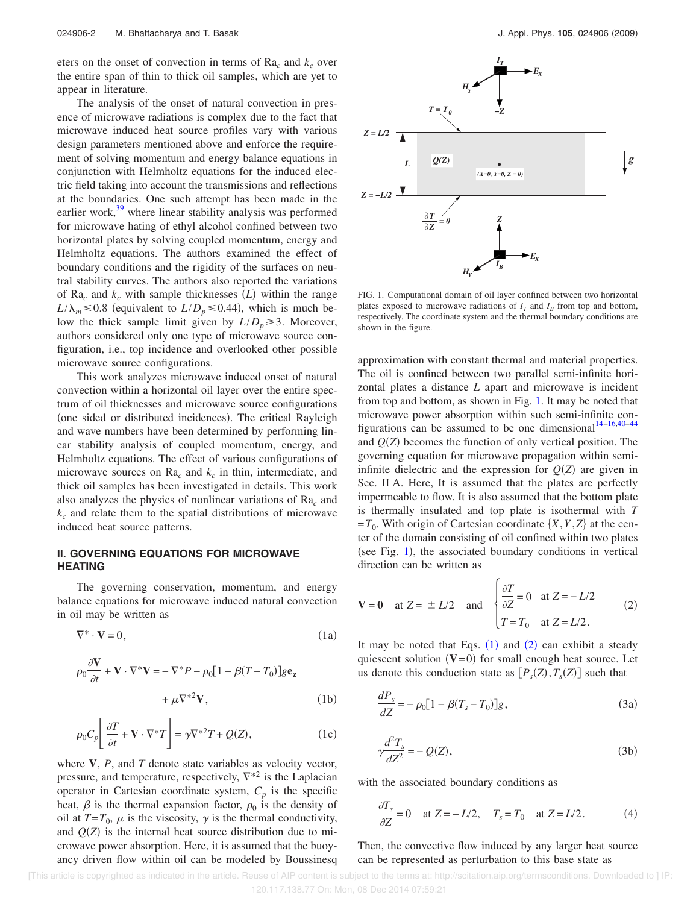eters on the onset of convection in terms of  $Ra_c$  and  $k_c$  over the entire span of thin to thick oil samples, which are yet to appear in literature.

The analysis of the onset of natural convection in presence of microwave radiations is complex due to the fact that microwave induced heat source profiles vary with various design parameters mentioned above and enforce the requirement of solving momentum and energy balance equations in conjunction with Helmholtz equations for the induced electric field taking into account the transmissions and reflections at the boundaries. One such attempt has been made in the earlier work, $39$  where linear stability analysis was performed for microwave hating of ethyl alcohol confined between two horizontal plates by solving coupled momentum, energy and Helmholtz equations. The authors examined the effect of boundary conditions and the rigidity of the surfaces on neutral stability curves. The authors also reported the variations of  $Ra_c$  and  $k_c$  with sample thicknesses  $(L)$  within the range  $L/\lambda_m \le 0.8$  (equivalent to  $L/D_p \le 0.44$ ), which is much below the thick sample limit given by  $L/D_p \geq 3$ . Moreover, authors considered only one type of microwave source configuration, i.e., top incidence and overlooked other possible microwave source configurations.

This work analyzes microwave induced onset of natural convection within a horizontal oil layer over the entire spectrum of oil thicknesses and microwave source configurations (one sided or distributed incidences). The critical Rayleigh and wave numbers have been determined by performing linear stability analysis of coupled momentum, energy, and Helmholtz equations. The effect of various configurations of microwave sources on  $Ra_c$  and  $k_c$  in thin, intermediate, and thick oil samples has been investigated in details. This work also analyzes the physics of nonlinear variations of Ra*<sup>c</sup>* and *k<sup>c</sup>* and relate them to the spatial distributions of microwave induced heat source patterns.

## **II. GOVERNING EQUATIONS FOR MICROWAVE HEATING**

The governing conservation, momentum, and energy balance equations for microwave induced natural convection in oil may be written as

$$
\nabla^* \cdot \mathbf{V} = 0,\tag{1a}
$$

$$
\rho_0 \frac{\partial \mathbf{V}}{\partial t} + \mathbf{V} \cdot \nabla^* \mathbf{V} = -\nabla^* P - \rho_0 [1 - \beta (T - T_0)] g \mathbf{e}_z
$$
  
+  $\mu \nabla^{*2} \mathbf{V},$  (1b)

$$
\rho_0 C_p \left[ \frac{\partial T}{\partial t} + \mathbf{V} \cdot \nabla^* T \right] = \gamma \nabla^{*2} T + Q(Z), \tag{1c}
$$

where **V**, *P*, and *T* denote state variables as velocity vector, pressure, and temperature, respectively,  $\nabla^*$ <sup>2</sup> is the Laplacian operator in Cartesian coordinate system,  $C_p$  is the specific heat,  $\beta$  is the thermal expansion factor,  $\rho_0$  is the density of oil at  $T = T_0$ ,  $\mu$  is the viscosity,  $\gamma$  is the thermal conductivity, and  $Q(Z)$  is the internal heat source distribution due to microwave power absorption. Here, it is assumed that the buoyancy driven flow within oil can be modeled by Boussinesq



FIG. 1. Computational domain of oil layer confined between two horizontal plates exposed to microwave radiations of  $I<sub>T</sub>$  and  $I<sub>B</sub>$  from top and bottom, respectively. The coordinate system and the thermal boundary conditions are shown in the figure.

approximation with constant thermal and material properties. The oil is confined between two parallel semi-infinite horizontal plates a distance *L* apart and microwave is incident from top and bottom, as shown in Fig. 1. It may be noted that microwave power absorption within such semi-infinite configurations can be assumed to be one dimensional  $14-16,40-44$ and  $Q(Z)$  becomes the function of only vertical position. The governing equation for microwave propagation within semiinfinite dielectric and the expression for  $Q(Z)$  are given in Sec. II A. Here, It is assumed that the plates are perfectly impermeable to flow. It is also assumed that the bottom plate is thermally insulated and top plate is isothermal with *T*  $=T_0$ . With origin of Cartesian coordinate  $\{X, Y, Z\}$  at the center of the domain consisting of oil confined within two plates (see Fig. 1), the associated boundary conditions in vertical direction can be written as

$$
\mathbf{V} = \mathbf{0} \quad \text{at } Z = \pm L/2 \quad \text{and} \quad \begin{cases} \frac{\partial T}{\partial Z} = 0 & \text{at } Z = -L/2 \\ T = T_0 & \text{at } Z = L/2. \end{cases} \tag{2}
$$

It may be noted that Eqs.  $(1)$  and  $(2)$  can exhibit a steady quiescent solution  $(V=0)$  for small enough heat source. Let us denote this conduction state as  $[P_s(Z), T_s(Z)]$  such that

$$
\frac{dP_s}{dZ} = -\rho_0 [1 - \beta (T_s - T_0)]g,\t(3a)
$$

$$
\gamma \frac{d^2 T_s}{dZ^2} = -Q(Z),\tag{3b}
$$

with the associated boundary conditions as

$$
\frac{\partial T_s}{\partial Z} = 0 \quad \text{at } Z = -L/2, \quad T_s = T_0 \quad \text{at } Z = L/2.
$$
 (4)

Then, the convective flow induced by any larger heat source can be represented as perturbation to this base state as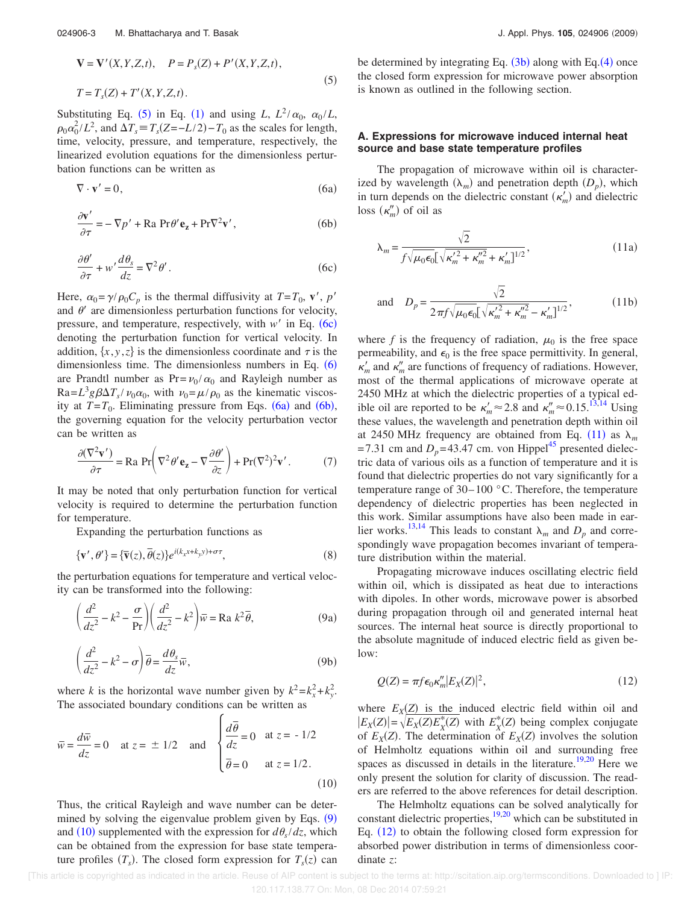$$
\mathbf{V} = \mathbf{V}'(X, Y, Z, t), \quad P = P_s(Z) + P'(X, Y, Z, t),
$$
  
\n
$$
T = T_s(Z) + T'(X, Y, Z, t).
$$
\n(5)

Substituting Eq. (5) in Eq. (1) and using *L*,  $L^2/\alpha_0$ ,  $\alpha_0/L$ ,  $\rho_0 \alpha_0^2 / L^2$ , and  $\Delta T_s \equiv T_s (Z = -L/2) - T_0$  as the scales for length, time, velocity, pressure, and temperature, respectively, the linearized evolution equations for the dimensionless perturbation functions can be written as

$$
\nabla \cdot \mathbf{v}' = 0,\tag{6a}
$$

$$
\frac{\partial \mathbf{v}'}{\partial \tau} = -\nabla p' + \text{Ra} \, \text{Pr}\theta' \mathbf{e}_z + \text{Pr}\nabla^2 \mathbf{v}',\tag{6b}
$$

$$
\frac{\partial \theta'}{\partial \tau} + w' \frac{d\theta_s}{dz} = \nabla^2 \theta'.
$$
 (6c)

Here,  $\alpha_0 = \gamma/\rho_0 C_p$  is the thermal diffusivity at  $T = T_0$ , **v'**, *p'* and  $\theta'$  are dimensionless perturbation functions for velocity, pressure, and temperature, respectively, with  $w'$  in Eq.  $(6c)$ denoting the perturbation function for vertical velocity. In addition,  $\{x, y, z\}$  is the dimensionless coordinate and  $\tau$  is the dimensionless time. The dimensionless numbers in Eq.  $(6)$ are Prandtl number as  $Pr = v_0 / \alpha_0$  and Rayleigh number as  $Ra = L^3 g \beta \Delta T_s / v_0 \alpha_0$ , with  $v_0 = \mu / \rho_0$  as the kinematic viscosity at  $T = T_0$ . Eliminating pressure from Eqs. (6a) and (6b), the governing equation for the velocity perturbation vector can be written as

$$
\frac{\partial(\nabla^2 \mathbf{v}')}{\partial \tau} = \text{Ra} \, \text{Pr}\bigg(\nabla^2 \theta' \mathbf{e}_z - \nabla \frac{\partial \theta'}{\partial z}\bigg) + \text{Pr}(\nabla^2)^2 \mathbf{v}'.\tag{7}
$$

It may be noted that only perturbation function for vertical velocity is required to determine the perturbation function for temperature.

Expanding the perturbation functions as

$$
\{\mathbf v', \theta'\} = \{\overline{\mathbf v}(z), \overline{\theta}(z)\} e^{i(k_x x + k_y y) + \sigma \tau},\tag{8}
$$

the perturbation equations for temperature and vertical velocity can be transformed into the following:

$$
\left(\frac{d^2}{dz^2} - k^2 - \frac{\sigma}{\text{Pr}}\right) \left(\frac{d^2}{dz^2} - k^2\right) \overline{w} = \text{Ra } k^2 \overline{\theta},\tag{9a}
$$

$$
\left(\frac{d^2}{dz^2} - k^2 - \sigma\right)\overline{\theta} = \frac{d\theta_s}{dz}\overline{w},\tag{9b}
$$

where *k* is the horizontal wave number given by  $k^2 = k_x^2 + k_y^2$ . The associated boundary conditions can be written as

$$
\overline{w} = \frac{d\overline{w}}{dz} = 0
$$
 at  $z = \pm 1/2$  and  $\begin{cases} \frac{d\overline{\theta}}{dz} = 0 & \text{at } z = -1/2 \\ \overline{\theta} = 0 & \text{at } z = 1/2. \end{cases}$  (10)

Thus, the critical Rayleigh and wave number can be determined by solving the eigenvalue problem given by Eqs.  $(9)$ and (10) supplemented with the expression for  $d\theta_s/dz$ , which can be obtained from the expression for base state temperature profiles  $(T_s)$ . The closed form expression for  $T_s(z)$  can

be determined by integrating Eq.  $(3b)$  along with Eq. $(4)$  once the closed form expression for microwave power absorption is known as outlined in the following section.

## **A. Expressions for microwave induced internal heat source and base state temperature profiles**

The propagation of microwave within oil is characterized by wavelength  $(\lambda_m)$  and penetration depth  $(D_p)$ , which in turn depends on the dielectric constant  $(\kappa'_m)$  and dielectric loss  $(\kappa_m^{\prime\prime})$  of oil as

$$
\lambda_m = \frac{\sqrt{2}}{f \sqrt{\mu_0 \epsilon_0} \left[ \sqrt{\kappa_m'^2 + \kappa_m'^2 + \kappa_m' \right]^{1/2}}},
$$
\n(11a)

and 
$$
D_p = \frac{\sqrt{2}}{2\pi f \sqrt{\mu_0 \epsilon_0} \left[\sqrt{\kappa_m'^2 + \kappa_m'^2} - \kappa_m' \right]^{1/2}},
$$
 (11b)

where  $f$  is the frequency of radiation,  $\mu_0$  is the free space permeability, and  $\epsilon_0$  is the free space permittivity. In general,  $\kappa'_m$  and  $\kappa''_m$  are functions of frequency of radiations. However, most of the thermal applications of microwave operate at 2450 MHz at which the dielectric properties of a typical edible oil are reported to be  $\kappa'_m \approx 2.8$  and  $\kappa''_m \approx 0.15$ .<sup>13,14</sup> Using these values, the wavelength and penetration depth within oil at 2450 MHz frequency are obtained from Eq. (11) as  $\lambda_m$ =7.31 cm and  $D_p$ =43.47 cm. von Hippel<sup>45</sup> presented dielectric data of various oils as a function of temperature and it is found that dielectric properties do not vary significantly for a temperature range of 30–100 °C. Therefore, the temperature dependency of dielectric properties has been neglected in this work. Similar assumptions have also been made in earlier works.<sup>13,14</sup> This leads to constant  $\lambda_m$  and  $D_p$  and correspondingly wave propagation becomes invariant of temperature distribution within the material.

Propagating microwave induces oscillating electric field within oil, which is dissipated as heat due to interactions with dipoles. In other words, microwave power is absorbed during propagation through oil and generated internal heat sources. The internal heat source is directly proportional to the absolute magnitude of induced electric field as given below:

$$
Q(Z) = \pi f \epsilon_0 \kappa_m'' |E_X(Z)|^2, \qquad (12)
$$

where  $E_X(\mathbf{Z})$  is the induced electric field within oil and  $|E_X(Z)| = \sqrt{E_X(Z)E_X^*(Z)}$  with  $E_X^*(Z)$  being complex conjugate of  $E_X(Z)$ . The determination of  $E_X(Z)$  involves the solution of Helmholtz equations within oil and surrounding free spaces as discussed in details in the literature.<sup>19,20</sup> Here we only present the solution for clarity of discussion. The readers are referred to the above references for detail description.

The Helmholtz equations can be solved analytically for constant dielectric properties, $\frac{19,20}{2}$  which can be substituted in Eq. (12) to obtain the following closed form expression for absorbed power distribution in terms of dimensionless coordinate *z*: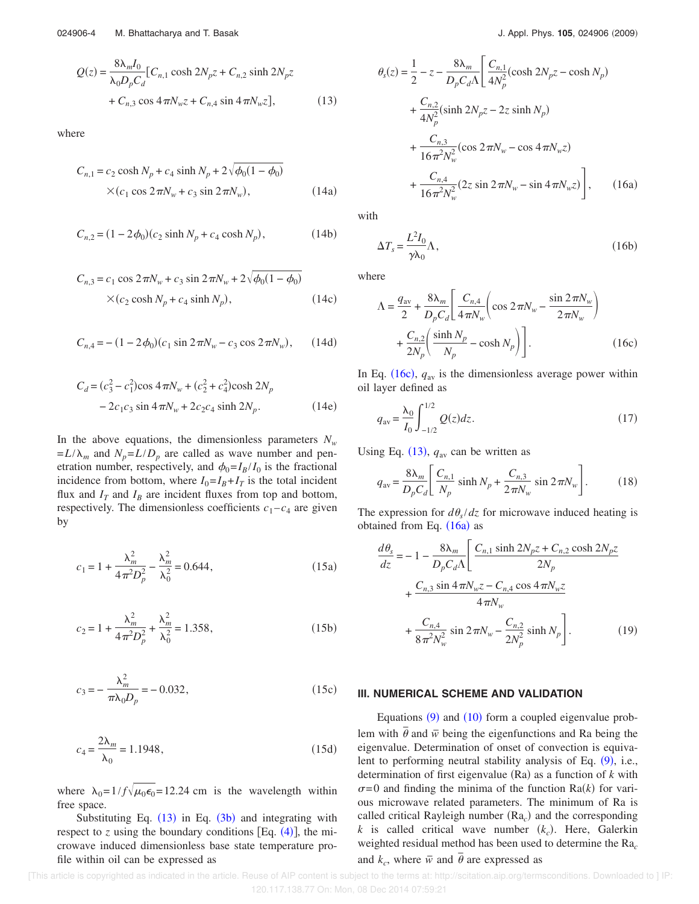$$
Q(z) = \frac{8\lambda_m I_0}{\lambda_0 D_p C_d} [C_{n,1} \cosh 2N_p z + C_{n,2} \sinh 2N_p z + C_{n,3} \cos 4\pi N_w z + C_{n,4} \sin 4\pi N_w z],
$$
 (13)

where

$$
C_{n,1} = c_2 \cosh N_p + c_4 \sinh N_p + 2\sqrt{\phi_0 (1 - \phi_0)}
$$
  
× $(c_1 \cos 2\pi N_w + c_3 \sin 2\pi N_w)$ , (14a)

$$
C_{n,2} = (1 - 2\phi_0)(c_2 \sinh N_p + c_4 \cosh N_p),
$$
 (14b)

$$
C_{n,3} = c_1 \cos 2\pi N_w + c_3 \sin 2\pi N_w + 2\sqrt{\phi_0 (1 - \phi_0)}
$$
  
×(c<sub>2</sub> cosh N<sub>p</sub> + c<sub>4</sub> sinh N<sub>p</sub>), (14c)

$$
C_{n,4} = -(1 - 2\phi_0)(c_1 \sin 2\pi N_w - c_3 \cos 2\pi N_w), \qquad (14d)
$$

$$
C_d = (c_3^2 - c_1^2)\cos 4\pi N_w + (c_2^2 + c_4^2)\cosh 2N_p
$$
  
- 2c<sub>1</sub>c<sub>3</sub> sin 4 $\pi N_w$  + 2c<sub>2</sub>c<sub>4</sub> sinh 2N<sub>p</sub>. (14e)

In the above equations, the dimensionless parameters  $N_w$  $= L/\lambda_m$  and  $N_p = L/D_p$  are called as wave number and penetration number, respectively, and  $\phi_0 = I_B/I_0$  is the fractional incidence from bottom, where  $I_0 = I_B + I_T$  is the total incident flux and  $I_T$  and  $I_B$  are incident fluxes from top and bottom, respectively. The dimensionless coefficients  $c_1 - c_4$  are given by

$$
c_1 = 1 + \frac{\lambda_m^2}{4\pi^2 D_p^2} - \frac{\lambda_m^2}{\lambda_0^2} = 0.644,\tag{15a}
$$

$$
c_2 = 1 + \frac{\lambda_m^2}{4\pi^2 D_p^2} + \frac{\lambda_m^2}{\lambda_0^2} = 1.358,
$$
 (15b)

$$
c_3 = -\frac{\lambda_m^2}{\pi \lambda_0 D_p} = -0.032, \tag{15c}
$$

$$
c_4 = \frac{2\lambda_m}{\lambda_0} = 1.1948,\tag{15d}
$$

where  $\lambda_0 = 1/f \sqrt{\mu_0 \epsilon_0} = 12.24$  cm is the wavelength within free space.

Substituting Eq.  $(13)$  in Eq.  $(3b)$  and integrating with respect to  $\zeta$  using the boundary conditions [Eq.  $(4)$ ], the microwave induced dimensionless base state temperature profile within oil can be expressed as

$$
\theta_{s}(z) = \frac{1}{2} - z - \frac{8\lambda_{m}}{D_{p}C_{d}\Lambda} \left[ \frac{C_{n,1}}{4N_{p}^{2}} (\cosh 2N_{p}z - \cosh N_{p}) + \frac{C_{n,2}}{4N_{p}^{2}} (\sinh 2N_{p}z - 2z \sinh N_{p}) + \frac{C_{n,3}}{16\pi^{2}N_{w}^{2}} (\cos 2\pi N_{w} - \cos 4\pi N_{w}z) + \frac{C_{n,4}}{16\pi^{2}N_{w}^{2}} (2z \sin 2\pi N_{w} - \sin 4\pi N_{w}z) \right], \quad (16a)
$$

with

$$
\Delta T_s = \frac{L^2 I_0}{\gamma \lambda_0} \Lambda,\tag{16b}
$$

where

$$
\Lambda = \frac{q_{\rm av}}{2} + \frac{8\lambda_m}{D_p C_d} \left[ \frac{C_{n,4}}{4\pi N_w} \left( \cos 2\pi N_w - \frac{\sin 2\pi N_w}{2\pi N_w} \right) + \frac{C_{n,2}}{2N_p} \left( \frac{\sinh N_p}{N_p} - \cosh N_p \right) \right].
$$
 (16c)

In Eq. (16c),  $q_{av}$  is the dimensionless average power within oil layer defined as

$$
q_{\rm av} = \frac{\lambda_0}{I_0} \int_{-1/2}^{1/2} Q(z) dz.
$$
 (17)

Using Eq.  $(13)$ ,  $q_{av}$  can be written as

$$
q_{\text{av}} = \frac{8\lambda_m}{D_p C_d} \left[ \frac{C_{n,1}}{N_p} \sinh N_p + \frac{C_{n,3}}{2\pi N_w} \sin 2\pi N_w \right].
$$
 (18)

The expression for  $d\theta_s/dz$  for microwave induced heating is obtained from Eq.  $(16a)$  as

$$
\frac{d\theta_s}{dz} = -1 - \frac{8\lambda_m}{D_p C_d \Lambda} \left[ \frac{C_{n,1} \sinh 2N_p z + C_{n,2} \cosh 2N_p z}{2N_p} + \frac{C_{n,3} \sin 4\pi N_w z - C_{n,4} \cos 4\pi N_w z}{4\pi N_w} + \frac{C_{n,4}}{8\pi^2 N_w^2} \sin 2\pi N_w - \frac{C_{n,2}}{2N_p^2} \sinh N_p \right].
$$
\n(19)

#### **III. NUMERICAL SCHEME AND VALIDATION**

Equations  $(9)$  and  $(10)$  form a coupled eigenvalue prob-Lem with  $\bar{\theta}$  and  $\bar{w}$  being the eigenfunctions and Ra being the eigenvalue. Determination of onset of convection is equivalent to performing neutral stability analysis of Eq. (9), i.e., determination of first eigenvalue  $(Ra)$  as a function of  $k$  with  $\sigma = 0$  and finding the minima of the function Ra(k) for various microwave related parameters. The minimum of Ra is called critical Rayleigh number  $(Ra_c)$  and the corresponding  $k$  is called critical wave number  $(k_c)$ . Here, Galerkin weighted residual method has been used to determine the Ra*<sup>c</sup>* and  $k_c$ , where  $\overline{w}$  and  $\overline{\theta}$  are expressed as

 [This article is copyrighted as indicated in the article. Reuse of AIP content is subject to the terms at: http://scitation.aip.org/termsconditions. Downloaded to ] IP: 120.117.138.77 On: Mon, 08 Dec 2014 07:59:21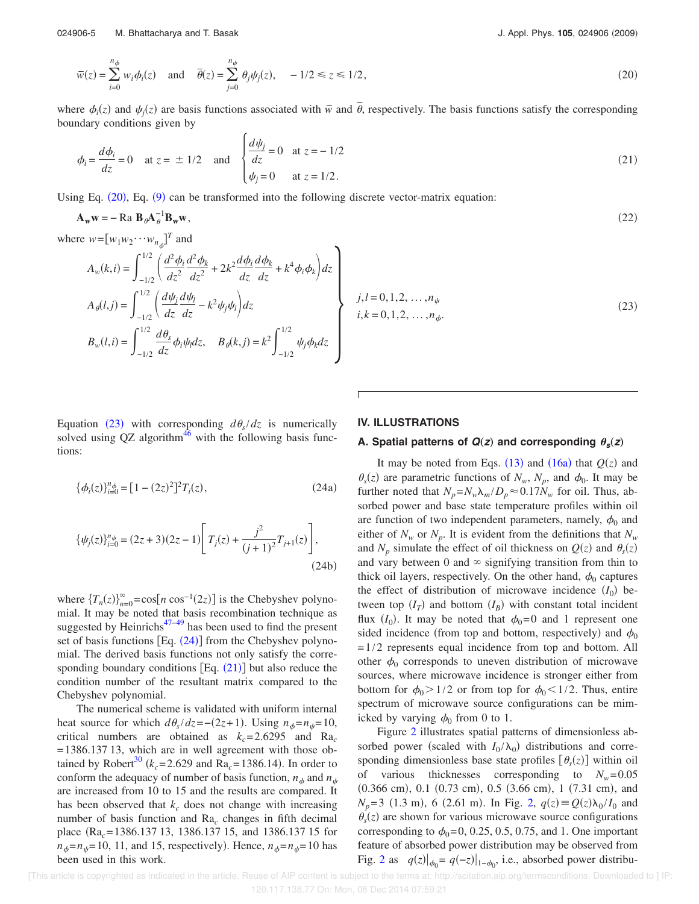024906-5 M. Bhattacharya and T. Basak

J. Appl. Phys. 105, 024906 (2009)

$$
\overline{w}(z) = \sum_{i=0}^{n_{\phi}} w_i \phi_i(z) \quad \text{and} \quad \overline{\theta}(z) = \sum_{j=0}^{n_{\psi}} \theta_j \psi_j(z), \quad -1/2 \le z \le 1/2,
$$
\n(20)

where  $\phi_i(z)$  and  $\psi_j(z)$  are basis functions associated with  $\overline{w}$  and  $\overline{\theta}$ , respectively. The basis functions satisfy the corresponding boundary conditions given by

$$
\phi_i = \frac{d\phi_i}{dz} = 0 \quad \text{at } z = \pm 1/2 \quad \text{and} \quad \begin{cases} \frac{d\psi_i}{dz} = 0 & \text{at } z = -1/2\\ \psi_j = 0 & \text{at } z = 1/2. \end{cases} \tag{21}
$$

Using Eq.  $(20)$ , Eq.  $(9)$  can be transformed into the following discrete vector-matrix equation:

$$
\mathbf{A}_{\mathbf{w}}\mathbf{w} = -\operatorname{Ra} \mathbf{B}_{\theta} \mathbf{A}_{\theta}^{-1} \mathbf{B}_{\mathbf{w}} \mathbf{w},\tag{22}
$$

٦

where  $w = [w_1 w_2 \cdots w_{n_{\phi}}]^T$  and

$$
A_w(k,i) = \int_{-1/2}^{1/2} \left( \frac{d^2 \phi_i}{dz^2} \frac{d^2 \phi_k}{dz^2} + 2k^2 \frac{d \phi_i}{dz} \frac{d \phi_k}{dz} + k^4 \phi_i \phi_k \right) dz
$$
  
\n
$$
A_\theta(l,j) = \int_{-1/2}^{1/2} \left( \frac{d \psi_j}{dz} \frac{d \psi_l}{dz} - k^2 \psi_j \psi_l \right) dz
$$
  
\n
$$
B_w(l,i) = \int_{-1/2}^{1/2} \frac{d \theta_s}{dz} \phi_i \psi_l dz, \quad B_\theta(k,j) = k^2 \int_{-1/2}^{1/2} \psi_j \phi_k dz
$$

 $l = 0, 1, 2, \ldots, n_{\psi}$  $k = 0, 1, 2, \ldots, n_{\phi}$ .  $(23)$ 

Equation (23) with corresponding  $d\theta_s/dz$  is numerically solved using  $QZ$  algorithm<sup>46</sup> with the following basis functions:

$$
\{\phi_i(z)\}_{i=0}^{n_{\phi}} = [1 - (2z)^2]^2 T_i(z), \qquad (24a)
$$

$$
\{\psi_j(z)\}_{i=0}^{n_{\psi}} = (2z+3)(2z-1)\left[T_j(z) + \frac{j^2}{(j+1)^2}T_{j+1}(z)\right],\tag{24b}
$$

where  ${T_n(z)}_{n=0}^{\infty} = \cos[n \cos^{-1}(2z)]$  is the Chebyshev polynomial. It may be noted that basis recombination technique as suggested by Heinrichs $47-49$  has been used to find the present set of basis functions  $[Eq. (24)]$  from the Chebyshev polynomial. The derived basis functions not only satisfy the corresponding boundary conditions  $[Eq. (21)]$  but also reduce the condition number of the resultant matrix compared to the Chebyshev polynomial.

The numerical scheme is validated with uniform internal heat source for which  $d\theta_s/dz = -(2z+1)$ . Using  $n_{\phi} = n_{\psi} = 10$ , critical numbers are obtained as  $k_c$ =2.6295 and Ra<sub>c</sub> =1386.137 13, which are in well agreement with those obtained by Robert<sup>30</sup> ( $k_c$ =2.629 and Ra<sub>c</sub>=1386.14). In order to conform the adequacy of number of basis function,  $n_{\phi}$  and  $n_{\psi}$ are increased from 10 to 15 and the results are compared. It has been observed that  $k_c$  does not change with increasing number of basis function and Ra*<sup>c</sup>* changes in fifth decimal place Ra*c*=1386.137 13, 1386.137 15, and 1386.137 15 for  $n_{\phi}$ = $n_{\psi}$ =10, 11, and 15, respectively). Hence,  $n_{\phi}$ = $n_{\psi}$ =10 has been used in this work.

## **IV. ILLUSTRATIONS**

## A. Spatial patterns of  $Q(z)$  and corresponding  $\theta_s(z)$

It may be noted from Eqs.  $(13)$  and  $(16a)$  that  $Q(z)$  and  $\theta_s(z)$  are parametric functions of  $N_w$ ,  $N_p$ , and  $\phi_0$ . It may be further noted that  $N_p = N_w \lambda_m / D_p \approx 0.17 N_w$  for oil. Thus, absorbed power and base state temperature profiles within oil are function of two independent parameters, namely,  $\phi_0$  and either of  $N_w$  or  $N_p$ . It is evident from the definitions that  $N_w$ and  $N_p$  simulate the effect of oil thickness on  $Q(z)$  and  $\theta_s(z)$ and vary between 0 and  $\infty$  signifying transition from thin to thick oil layers, respectively. On the other hand,  $\phi_0$  captures the effect of distribution of microwave incidence  $(I_0)$  between top  $(I_T)$  and bottom  $(I_B)$  with constant total incident flux  $(I_0)$ . It may be noted that  $\phi_0=0$  and 1 represent one sided incidence (from top and bottom, respectively) and  $\phi_0$  $=1/2$  represents equal incidence from top and bottom. All other  $\phi_0$  corresponds to uneven distribution of microwave sources, where microwave incidence is stronger either from bottom for  $\phi_0 > 1/2$  or from top for  $\phi_0 < 1/2$ . Thus, entire spectrum of microwave source configurations can be mimicked by varying  $\phi_0$  from 0 to 1.

Figure 2 illustrates spatial patterns of dimensionless absorbed power (scaled with  $I_0/\lambda_0$ ) distributions and corresponding dimensionless base state profiles  $[\theta_s(z)]$  within oil of various thicknesses corresponding to  $N_w = 0.05$  $(0.366 \text{ cm})$ , 0.1  $(0.73 \text{ cm})$ , 0.5  $(3.66 \text{ cm})$ , 1  $(7.31 \text{ cm})$ , and  $N_p = 3$  (1.3 m), 6 (2.61 m). In Fig. 2,  $q(z) \equiv Q(z) \lambda_0 / I_0$  and  $\theta_s(z)$  are shown for various microwave source configurations corresponding to  $\phi_0$ =0, 0.25, 0.5, 0.75, and 1. One important feature of absorbed power distribution may be observed from Fig. 2 as  $q(z)|_{\phi_0} = q(-z)|_{1-\phi_0}$ , i.e., absorbed power distribu-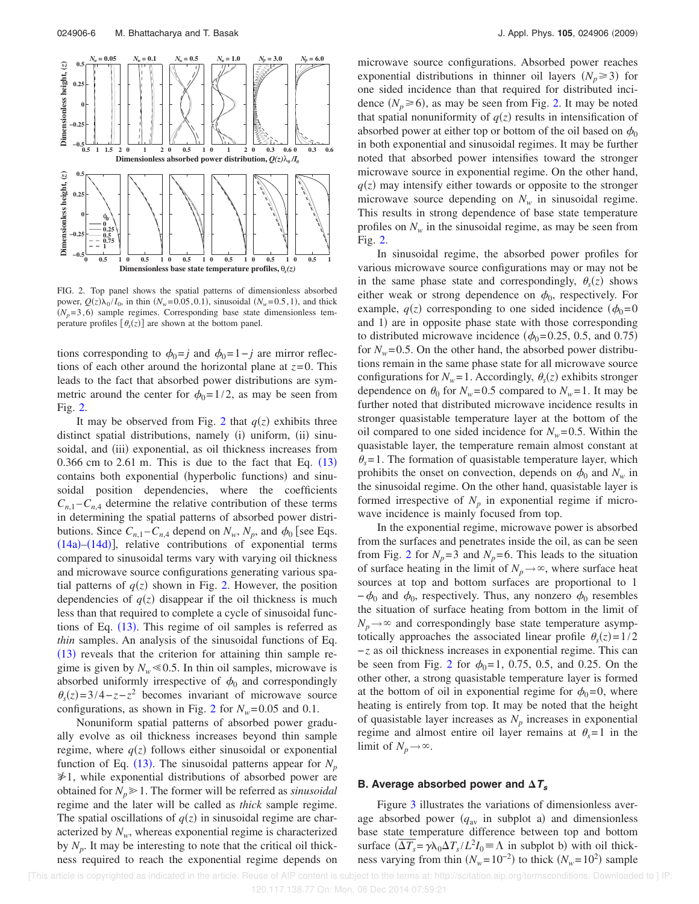

FIG. 2. Top panel shows the spatial patterns of dimensionless absorbed power,  $Q(z)\lambda_0/I_0$ , in thin  $(N_w=0.05, 0.1)$ , sinusoidal  $(N_w=0.5, 1)$ , and thick  $(N_p=3,6)$  sample regimes. Corresponding base state dimensionless temperature profiles  $[\theta_s(z)]$  are shown at the bottom panel.

tions corresponding to  $\phi_0 = j$  and  $\phi_0 = 1-j$  are mirror reflections of each other around the horizontal plane at *z*=0. This leads to the fact that absorbed power distributions are symmetric around the center for  $\phi_0=1/2$ , as may be seen from Fig. 2.

It may be observed from Fig. 2 that  $q(z)$  exhibits three distinct spatial distributions, namely (i) uniform, (ii) sinusoidal, and (iii) exponential, as oil thickness increases from 0.366 cm to 2.61 m. This is due to the fact that Eq.  $(13)$ contains both exponential (hyperbolic functions) and sinusoidal position dependencies, where the coefficients  $C_{n,1} - C_{n,4}$  determine the relative contribution of these terms in determining the spatial patterns of absorbed power distributions. Since  $C_{n,1} - C_{n,4}$  depend on  $N_w$ ,  $N_p$ , and  $\phi_0$  [see Eqs.  $(14a)$ – $(14d)$ ], relative contributions of exponential terms compared to sinusoidal terms vary with varying oil thickness and microwave source configurations generating various spatial patterns of  $q(z)$  shown in Fig. 2. However, the position dependencies of  $q(z)$  disappear if the oil thickness is much less than that required to complete a cycle of sinusoidal functions of Eq.  $(13)$ . This regime of oil samples is referred as *thin* samples. An analysis of the sinusoidal functions of Eq.  $(13)$  reveals that the criterion for attaining thin sample regime is given by  $N_w \ll 0.5$ . In thin oil samples, microwave is absorbed uniformly irrespective of  $\phi_0$  and correspondingly  $\theta_s(z) = 3/4 - z - z^2$  becomes invariant of microwave source configurations, as shown in Fig. 2 for  $N_w$ =0.05 and 0.1.

Nonuniform spatial patterns of absorbed power gradually evolve as oil thickness increases beyond thin sample regime, where  $q(z)$  follows either sinusoidal or exponential function of Eq. (13). The sinusoidal patterns appear for  $N_p$  $\geq 1$ , while exponential distributions of absorbed power are obtained for  $N_p \geq 1$ . The former will be referred as *sinusoidal* regime and the later will be called as *thick* sample regime. The spatial oscillations of  $q(z)$  in sinusoidal regime are characterized by  $N_w$ , whereas exponential regime is characterized by  $N_p$ . It may be interesting to note that the critical oil thickness required to reach the exponential regime depends on

microwave source configurations. Absorbed power reaches exponential distributions in thinner oil layers  $(N_p \geq 3)$  for one sided incidence than that required for distributed incidence  $(N_p \ge 6)$ , as may be seen from Fig. 2. It may be noted that spatial nonuniformity of  $q(z)$  results in intensification of absorbed power at either top or bottom of the oil based on  $\phi_0$ in both exponential and sinusoidal regimes. It may be further noted that absorbed power intensifies toward the stronger microwave source in exponential regime. On the other hand,  $q(z)$  may intensify either towards or opposite to the stronger microwave source depending on  $N_w$  in sinusoidal regime. This results in strong dependence of base state temperature profiles on  $N_w$  in the sinusoidal regime, as may be seen from Fig. 2.

In sinusoidal regime, the absorbed power profiles for various microwave source configurations may or may not be in the same phase state and correspondingly,  $\theta_s(z)$  shows either weak or strong dependence on  $\phi_0$ , respectively. For example,  $q(z)$  corresponding to one sided incidence  $(\phi_0=0)$ and 1) are in opposite phase state with those corresponding to distributed microwave incidence ( $\phi_0$ =0.25, 0.5, and 0.75) for  $N_w$ =0.5. On the other hand, the absorbed power distributions remain in the same phase state for all microwave source configurations for  $N_w = 1$ . Accordingly,  $\theta_s(z)$  exhibits stronger dependence on  $\theta_0$  for  $N_w$ =0.5 compared to  $N_w$ =1. It may be further noted that distributed microwave incidence results in stronger quasistable temperature layer at the bottom of the oil compared to one sided incidence for  $N_w$ =0.5. Within the quasistable layer, the temperature remain almost constant at  $\theta_s$ =1. The formation of quasistable temperature layer, which prohibits the onset on convection, depends on  $\phi_0$  and  $N_w$  in the sinusoidal regime. On the other hand, quasistable layer is formed irrespective of  $N_p$  in exponential regime if microwave incidence is mainly focused from top.

In the exponential regime, microwave power is absorbed from the surfaces and penetrates inside the oil, as can be seen from Fig. 2 for  $N_p = 3$  and  $N_p = 6$ . This leads to the situation of surface heating in the limit of  $N_p \rightarrow \infty$ , where surface heat sources at top and bottom surfaces are proportional to 1  $-\phi_0$  and  $\phi_0$ , respectively. Thus, any nonzero  $\phi_0$  resembles the situation of surface heating from bottom in the limit of  $N_p \rightarrow \infty$  and correspondingly base state temperature asymptotically approaches the associated linear profile  $\theta_s(z) = 1/2$ −*z* as oil thickness increases in exponential regime. This can be seen from Fig. 2 for  $\phi_0 = 1$ , 0.75, 0.5, and 0.25. On the other other, a strong quasistable temperature layer is formed at the bottom of oil in exponential regime for  $\phi_0=0$ , where heating is entirely from top. It may be noted that the height of quasistable layer increases as *N<sup>p</sup>* increases in exponential regime and almost entire oil layer remains at  $\theta_s = 1$  in the limit of  $N_p \rightarrow \infty$ .

## **B.** Average absorbed power and  $\Delta T_s$

Figure 3 illustrates the variations of dimensionless average absorbed power  $(q_{av}$  in subplot a) and dimensionless base state temperature difference between top and bottom surface  $(\overline{\Delta T_s} = \gamma \lambda_0 \Delta T_s / L^2 I_0 \equiv \Lambda$  in subplot b) with oil thickness varying from thin  $(N_w=10^{-2})$  to thick  $(N_w=10^2)$  sample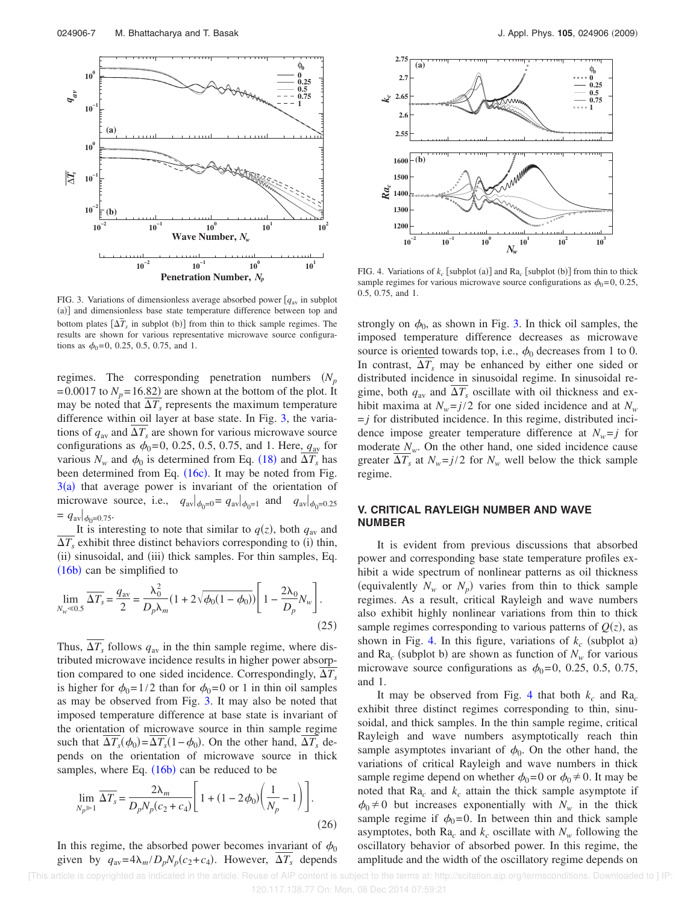

FIG. 3. Variations of dimensionless average absorbed power  $[q_{av}]$  in subplot (a)] and dimensionless base state temperature difference between top and bottom plates  $[\Delta T_s$  in subplot (b)] from thin to thick sample regimes. The results are shown for various representative microwave source configurations as  $\phi_0$ =0, 0.25, 0.5, 0.75, and 1.

regimes. The corresponding penetration numbers  $(N_p)$  $=0.0017$  to  $N_p = 16.82$ ) are shown at the bottom of the plot. It may be noted that  $\Delta T_s$  represents the maximum temperature difference within oil layer at base state. In Fig. 3, the variations of  $q_{av}$  and  $\overline{\Delta T_s}$  are shown for various microwave source configurations as  $\phi_0 = 0, 0.25, 0.5, 0.75,$  and 1. Here,  $q_{av}$  for various  $N_w$  and  $\phi_0$  is determined from Eq. (18) and  $\Delta T_s$  has been determined from Eq.  $(16c)$ . It may be noted from Fig.  $3(a)$  that average power is invariant of the orientation of microwave source, i.e.,  $q_{\text{av}}|_{\phi_0=0} = q_{\text{av}}|_{\phi_0=1}$  and  $q_{\text{av}}|_{\phi_0=0.25}$  $= q_{\text{av}}|_{\phi_0 = 0.75}$ 

It is interesting to note that similar to  $q(z)$ , both  $q_{av}$  and  $\Delta T_s$  exhibit three distinct behaviors corresponding to (i) thin, (ii) sinusoidal, and (iii) thick samples. For thin samples, Eq.  $(16b)$  can be simplified to

$$
\lim_{N_w \le 0.5} \overline{\Delta T_s} = \frac{q_{\text{av}}}{2} = \frac{\lambda_0^2}{D_p \lambda_m} (1 + 2\sqrt{\phi_0 (1 - \phi_0)}) \left[ 1 - \frac{2\lambda_0}{D_p} N_w \right].
$$
\n(25)

Thus,  $\Delta T_s$  follows  $q_{av}$  in the thin sample regime, where distributed microwave incidence results in higher power absorption compared to one sided incidence. Correspondingly,  $\Delta T_s$ is higher for  $\phi_0=1/2$  than for  $\phi_0=0$  or 1 in thin oil samples as may be observed from Fig. 3. It may also be noted that imposed temperature difference at base state is invariant of the orientation of microwave source in thin sample regime such that  $\Delta T_s(\phi_0) = \Delta T_s(1 - \phi_0)$ . On the other hand,  $\Delta T_s$  depends on the orientation of microwave source in thick samples, where Eq.  $(16b)$  can be reduced to be

$$
\lim_{N_p \gg 1} \overline{\Delta T_s} = \frac{2\lambda_m}{D_p N_p (c_2 + c_4)} \left[ 1 + (1 - 2\phi_0) \left( \frac{1}{N_p} - 1 \right) \right].
$$
\n(26)

In this regime, the absorbed power becomes invariant of  $\phi_0$ given by  $q_{av} = 4\lambda_m/D_pN_p(c_2+c_4)$ . However,  $\overline{\Delta T_s}$  depends



FIG. 4. Variations of  $k_c$  [subplot (a)] and  $Ra_c$  [subplot (b)] from thin to thick sample regimes for various microwave source configurations as  $\phi_0=0$ , 0.25, 0.5, 0.75, and 1.

strongly on  $\phi_0$ , as shown in Fig. 3. In thick oil samples, the imposed temperature difference decreases as microwave source is oriented towards top, i.e.,  $\phi_0$  decreases from 1 to 0. In contrast,  $\Delta T_s$  may be enhanced by either one sided or distributed incidence in sinusoidal regime. In sinusoidal regime, both  $q_{av}$  and  $\Delta T_s$  oscillate with oil thickness and exhibit maxima at  $N_w = j/2$  for one sided incidence and at  $N_w$  $=j$  for distributed incidence. In this regime, distributed incidence impose greater temperature difference at  $N_w = j$  for moderate  $N_w$ . On the other hand, one sided incidence cause greater  $\Delta T_s$  at  $N_w = j/2$  for  $N_w$  well below the thick sample regime.

## **V. CRITICAL RAYLEIGH NUMBER AND WAVE NUMBER**

It is evident from previous discussions that absorbed power and corresponding base state temperature profiles exhibit a wide spectrum of nonlinear patterns as oil thickness (equivalently  $N_w$  or  $N_p$ ) varies from thin to thick sample regimes. As a result, critical Rayleigh and wave numbers also exhibit highly nonlinear variations from thin to thick sample regimes corresponding to various patterns of  $Q(z)$ , as shown in Fig. 4. In this figure, variations of  $k_c$  (subplot a) and  $Ra_c$  (subplot b) are shown as function of  $N_w$  for various microwave source configurations as  $\phi_0=0$ , 0.25, 0.5, 0.75, and 1.

It may be observed from Fig. 4 that both  $k_c$  and Ra<sub>c</sub> exhibit three distinct regimes corresponding to thin, sinusoidal, and thick samples. In the thin sample regime, critical Rayleigh and wave numbers asymptotically reach thin sample asymptotes invariant of  $\phi_0$ . On the other hand, the variations of critical Rayleigh and wave numbers in thick sample regime depend on whether  $\phi_0=0$  or  $\phi_0\neq 0$ . It may be noted that Ra*<sup>c</sup>* and *k<sup>c</sup>* attain the thick sample asymptote if  $\phi_0 \neq 0$  but increases exponentially with  $N_w$  in the thick sample regime if  $\phi_0=0$ . In between thin and thick sample asymptotes, both  $Ra_c$  and  $k_c$  oscillate with  $N_w$  following the oscillatory behavior of absorbed power. In this regime, the amplitude and the width of the oscillatory regime depends on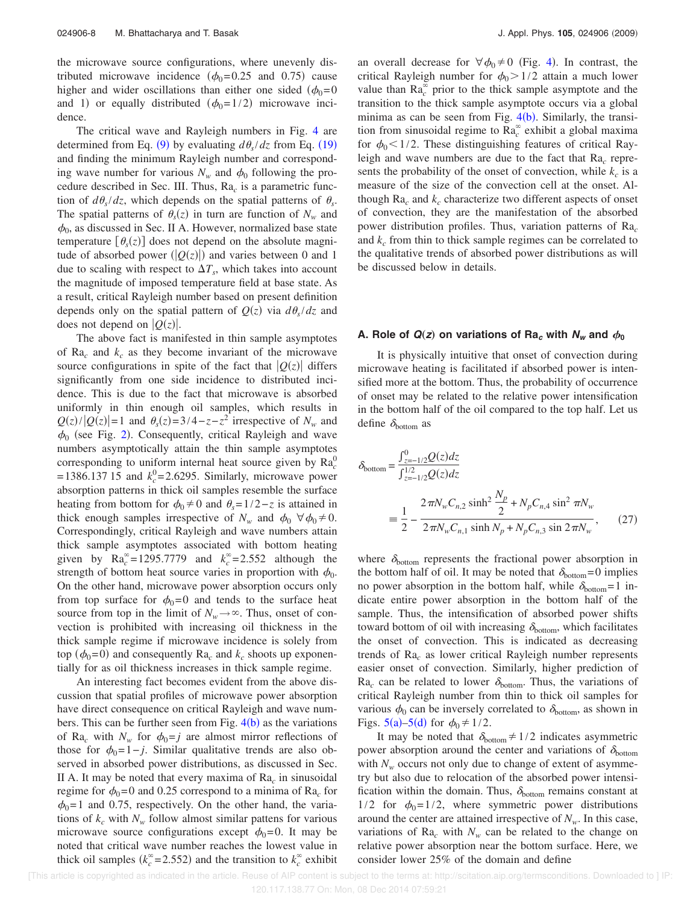the microwave source configurations, where unevenly distributed microwave incidence ( $\phi_0$ =0.25 and 0.75) cause higher and wider oscillations than either one sided  $(\phi_0=0)$ and 1) or equally distributed  $(\phi_0=1/2)$  microwave incidence.

The critical wave and Rayleigh numbers in Fig. 4 are determined from Eq. (9) by evaluating  $d\theta_s/dz$  from Eq. (19) and finding the minimum Rayleigh number and corresponding wave number for various  $N_w$  and  $\phi_0$  following the procedure described in Sec. III. Thus, Ra*<sup>c</sup>* is a parametric function of  $d\theta_s/dz$ , which depends on the spatial patterns of  $\theta_s$ . The spatial patterns of  $\theta_s(z)$  in turn are function of  $N_w$  and  $\phi_0$ , as discussed in Sec. II A. However, normalized base state temperature  $[\theta_s(z)]$  does not depend on the absolute magnitude of absorbed power  $(|Q(z)|)$  and varies between 0 and 1 due to scaling with respect to  $\Delta T_s$ , which takes into account the magnitude of imposed temperature field at base state. As a result, critical Rayleigh number based on present definition depends only on the spatial pattern of  $Q(z)$  via  $d\theta_s/dz$  and does not depend on  $|Q(z)|$ .

The above fact is manifested in thin sample asymptotes of Ra*<sup>c</sup>* and *k<sup>c</sup>* as they become invariant of the microwave source configurations in spite of the fact that  $|Q(z)|$  differs significantly from one side incidence to distributed incidence. This is due to the fact that microwave is absorbed uniformly in thin enough oil samples, which results in  $Q(z)/|Q(z)|=1$  and  $\theta_s(z)=3/4-z-z^2$  irrespective of  $N_w$  and  $\phi_0$  (see Fig. 2). Consequently, critical Rayleigh and wave numbers asymptotically attain the thin sample asymptotes corresponding to uniform internal heat source given by  $Ra_c^0$  $=$  1386.137 15 and  $k_c^0$  = 2.6295. Similarly, microwave power absorption patterns in thick oil samples resemble the surface heating from bottom for  $\phi_0 \neq 0$  and  $\theta_s = 1/2 - z$  is attained in thick enough samples irrespective of  $N_w$  and  $\phi_0 \,\forall \phi_0 \neq 0$ . Correspondingly, critical Rayleigh and wave numbers attain thick sample asymptotes associated with bottom heating given by  $\text{Ra}_c^{\infty} = 1295.7779$  and  $k_c^{\infty} = 2.552$  although the strength of bottom heat source varies in proportion with  $\phi_0$ . On the other hand, microwave power absorption occurs only from top surface for  $\phi_0=0$  and tends to the surface heat source from top in the limit of  $N_w \rightarrow \infty$ . Thus, onset of convection is prohibited with increasing oil thickness in the thick sample regime if microwave incidence is solely from  $top (\phi_0=0)$  and consequently  $Ra_c$  and  $k_c$  shoots up exponentially for as oil thickness increases in thick sample regime.

An interesting fact becomes evident from the above discussion that spatial profiles of microwave power absorption have direct consequence on critical Rayleigh and wave numbers. This can be further seen from Fig.  $4(b)$  as the variations of Ra<sub>c</sub> with  $N_w$  for  $\phi_0 = j$  are almost mirror reflections of those for  $\phi_0$ =1−*j*. Similar qualitative trends are also observed in absorbed power distributions, as discussed in Sec. II A. It may be noted that every maxima of Ra*<sup>c</sup>* in sinusoidal regime for  $\phi_0$ =0 and 0.25 correspond to a minima of Ra<sub>c</sub> for  $\phi_0$ =1 and 0.75, respectively. On the other hand, the variations of  $k_c$  with  $N_w$  follow almost similar pattens for various microwave source configurations except  $\phi_0=0$ . It may be noted that critical wave number reaches the lowest value in thick oil samples  $(k_c^{\infty} = 2.552)$  and the transition to  $k_c^{\infty}$  exhibit

an overall decrease for  $\forall \phi_0 \neq 0$  (Fig. 4). In contrast, the critical Rayleigh number for  $\phi_0 > 1/2$  attain a much lower value than  $Ra_c^{\infty}$  prior to the thick sample asymptote and the transition to the thick sample asymptote occurs via a global minima as can be seen from Fig.  $4(b)$ . Similarly, the transition from sinusoidal regime to Ra*<sup>c</sup>* exhibit a global maxima for  $\phi_0$ <1/2. These distinguishing features of critical Rayleigh and wave numbers are due to the fact that Ra<sub>c</sub> represents the probability of the onset of convection, while  $k_c$  is a measure of the size of the convection cell at the onset. Although  $Ra_c$  and  $k_c$  characterize two different aspects of onset of convection, they are the manifestation of the absorbed power distribution profiles. Thus, variation patterns of Ra*<sup>c</sup>* and  $k_c$  from thin to thick sample regimes can be correlated to the qualitative trends of absorbed power distributions as will be discussed below in details.

#### **A.** Role of  $Q(z)$  on variations of Ra<sub>c</sub> with  $N_w$  and  $\phi_0$

It is physically intuitive that onset of convection during microwave heating is facilitated if absorbed power is intensified more at the bottom. Thus, the probability of occurrence of onset may be related to the relative power intensification in the bottom half of the oil compared to the top half. Let us define  $\delta_{\text{bottom}}$  as

$$
\delta_{\text{bottom}} = \frac{\int_{z=-1/2}^{0} Q(z) dz}{\int_{z=-1/2}^{1/2} Q(z) dz}
$$
\n
$$
= \frac{1}{2} - \frac{2\pi N_w C_{n,2} \sinh^2 \frac{N_p}{2} + N_p C_{n,4} \sin^2 \pi N_w}{2\pi N_w C_{n,1} \sinh N_p + N_p C_{n,3} \sin 2\pi N_w},
$$
\n(27)

where  $\delta_{\text{bottom}}$  represents the fractional power absorption in the bottom half of oil. It may be noted that  $\delta_{\text{bottom}}=0$  implies no power absorption in the bottom half, while  $\delta_{\text{bottom}}=1$  indicate entire power absorption in the bottom half of the sample. Thus, the intensification of absorbed power shifts toward bottom of oil with increasing  $\delta_{\text{bottom}}$ , which facilitates the onset of convection. This is indicated as decreasing trends of Ra*<sup>c</sup>* as lower critical Rayleigh number represents easier onset of convection. Similarly, higher prediction of  $Ra_c$  can be related to lower  $\delta_{bottom}$ . Thus, the variations of critical Rayleigh number from thin to thick oil samples for various  $\phi_0$  can be inversely correlated to  $\delta_{\text{bottom}}$ , as shown in Figs. 5(a)–5(d) for  $\phi_0 \neq 1/2$ .

It may be noted that  $\delta_{\text{bottom}} \neq 1/2$  indicates asymmetric power absorption around the center and variations of  $\delta_{\text{bottom}}$ with  $N_w$  occurs not only due to change of extent of asymmetry but also due to relocation of the absorbed power intensification within the domain. Thus,  $\delta_{\text{bottom}}$  remains constant at  $1/2$  for  $\phi_0=1/2$ , where symmetric power distributions around the center are attained irrespective of  $N<sub>w</sub>$ . In this case, variations of  $Ra_c$  with  $N_w$  can be related to the change on relative power absorption near the bottom surface. Here, we consider lower 25% of the domain and define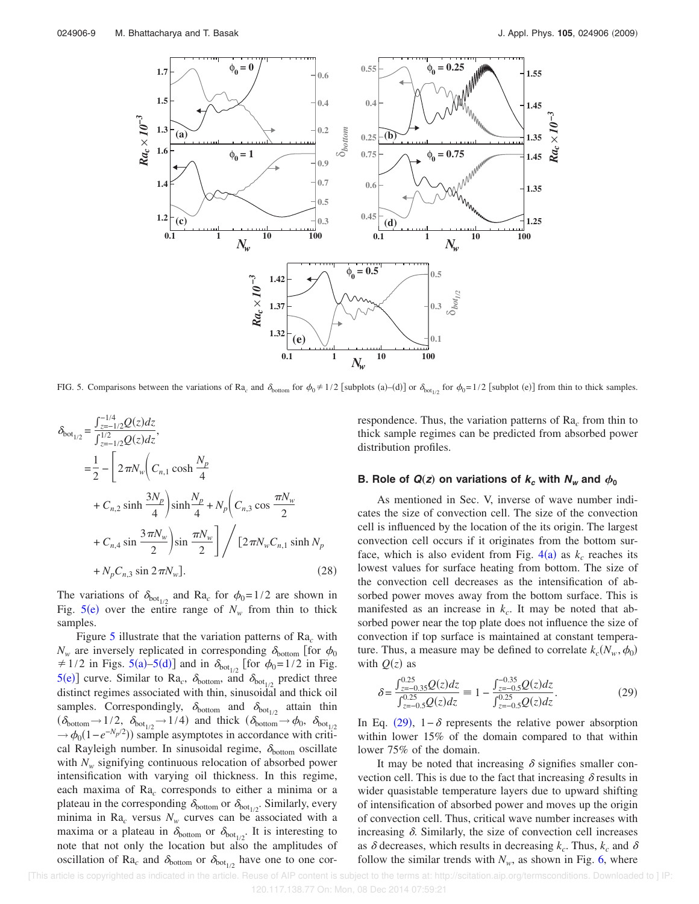

FIG. 5. Comparisons between the variations of Ra<sub>c</sub> and  $\delta_{\text{bottom}}$  for  $\phi_0 \neq 1/2$  [subplots (a)–(d)] or  $\delta_{\text{bot}_{1/2}}$  for  $\phi_0 = 1/2$  [subplot (e)] from thin to thick samples.

$$
\delta_{\text{bot}_{1/2}} = \frac{\int_{z=-1/2}^{-1/4} Q(z) dz}{\int_{z=-1/2}^{1/2} Q(z) dz},
$$
\n
$$
= \frac{1}{2} - \left[ 2 \pi N_w \left( C_{n,1} \cosh \frac{N_p}{4} + C_{n,2} \sinh \frac{3N_p}{4} \right) \sinh \frac{N_p}{4} + N_p \left( C_{n,3} \cos \frac{\pi N_w}{2} + C_{n,4} \sin \frac{3\pi N_w}{2} \right) \sin \frac{\pi N_w}{2} \right] / \left[ 2 \pi N_w C_{n,1} \sinh N_p + N_p C_{n,3} \sin 2\pi N_w \right].
$$
\n(28)

The variations of  $\delta_{\text{bot}_{1/2}}$  and Ra<sub>c</sub> for  $\phi_0=1/2$  are shown in Fig.  $5(e)$  over the entire range of  $N_w$  from thin to thick samples.

Figure 5 illustrate that the variation patterns of Ra*<sup>c</sup>* with  $N_w$  are inversely replicated in corresponding  $\delta_{\text{bottom}}$  [for  $\phi_0$  $\neq$  1/2 in Figs. 5(a)–5(d)] and in  $\delta_{\text{bot}_{1/2}}$  [for  $\phi_0$ =1/2 in Fig.  $5(e)$ ] curve. Similar to Ra<sub>c</sub>,  $\delta_{\text{bottom}}$ , and  $\delta_{\text{bot}_{1/2}}$  predict three distinct regimes associated with thin, sinusoidal and thick oil samples. Correspondingly,  $\delta_{bottom}$  and  $\delta_{bot_{1/2}}$  attain thin  $(\delta_{\text{bottom}} \rightarrow 1/2, \ \delta_{\text{bot}_{1/2}} \rightarrow 1/4)$  and thick  $(\delta_{\text{bottom}} \rightarrow \phi_0, \ \delta_{\text{bot}_{1/2}})$  $\rightarrow \phi_0(1-e^{-N_p/2})$  sample asymptotes in accordance with critical Rayleigh number. In sinusoidal regime,  $\delta_{\text{bottom}}$  oscillate with  $N_w$  signifying continuous relocation of absorbed power intensification with varying oil thickness. In this regime, each maxima of Ra*<sup>c</sup>* corresponds to either a minima or a plateau in the corresponding  $\delta_{\text{bottom}}$  or  $\delta_{\text{bot}_{1/2}}$ . Similarly, every minima in Ra<sub>c</sub> versus  $N_w$  curves can be associated with a maxima or a plateau in  $\delta_{\text{bottom}}$  or  $\delta_{\text{bot}_{1/2}}$ . It is interesting to note that not only the location but also the amplitudes of oscillation of Ra<sub>c</sub> and  $\delta_{\text{bottom}}$  or  $\delta_{\text{bot}_{1/2}}$  have one to one cor-

respondence. Thus, the variation patterns of Ra*<sup>c</sup>* from thin to thick sample regimes can be predicted from absorbed power distribution profiles.

## **B.** Role of  $Q(z)$  on variations of  $k_c$  with  $N_w$  and  $\phi_0$

As mentioned in Sec. V, inverse of wave number indicates the size of convection cell. The size of the convection cell is influenced by the location of the its origin. The largest convection cell occurs if it originates from the bottom surface, which is also evident from Fig.  $4(a)$  as  $k_c$  reaches its lowest values for surface heating from bottom. The size of the convection cell decreases as the intensification of absorbed power moves away from the bottom surface. This is manifested as an increase in  $k_c$ . It may be noted that absorbed power near the top plate does not influence the size of convection if top surface is maintained at constant temperature. Thus, a measure may be defined to correlate  $k_c(N_w, \phi_0)$ with  $Q(z)$  as

$$
\delta = \frac{\int_{z=-0.35}^{0.25} Q(z)dz}{\int_{z=-0.5}^{0.25} Q(z)dz} \equiv 1 - \frac{\int_{z=-0.5}^{-0.35} Q(z)dz}{\int_{z=-0.5}^{0.25} Q(z)dz}.
$$
(29)

In Eq. (29),  $1 - \delta$  represents the relative power absorption within lower 15% of the domain compared to that within lower 75% of the domain.

It may be noted that increasing  $\delta$  signifies smaller convection cell. This is due to the fact that increasing  $\delta$  results in wider quasistable temperature layers due to upward shifting of intensification of absorbed power and moves up the origin of convection cell. Thus, critical wave number increases with increasing  $\delta$ . Similarly, the size of convection cell increases as  $\delta$  decreases, which results in decreasing  $k_c$ . Thus,  $k_c$  and  $\delta$ follow the similar trends with  $N_w$ , as shown in Fig. 6, where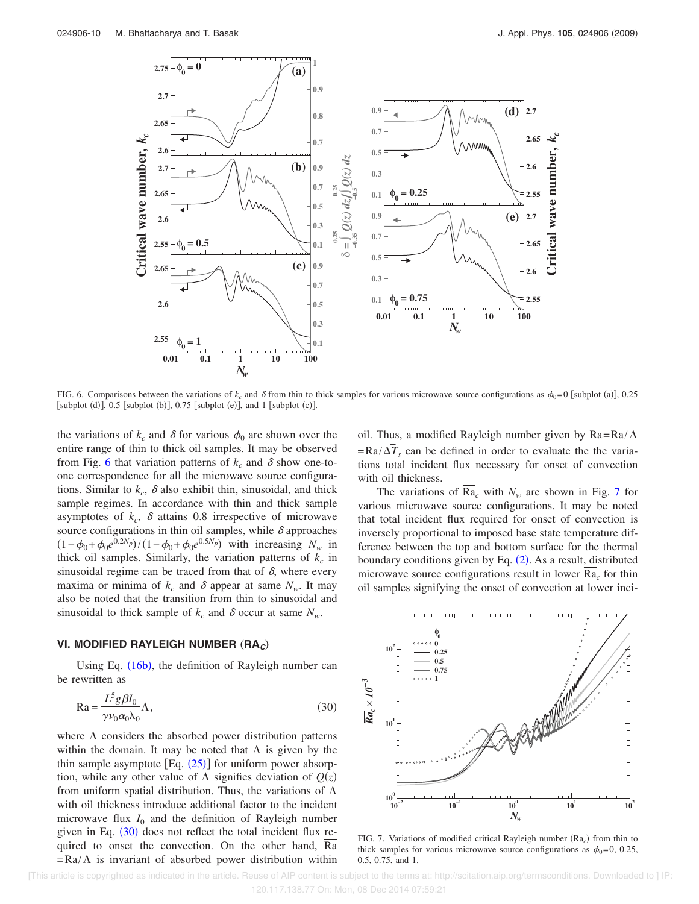

FIG. 6. Comparisons between the variations of  $k_c$  and  $\delta$  from thin to thick samples for various microwave source configurations as  $\phi_0 = 0$  [subplot (a)], 0.25 [subplot (d)],  $0.5$  [subplot (b)],  $0.75$  [subplot (e)], and 1 [subplot (c)].

the variations of  $k_c$  and  $\delta$  for various  $\phi_0$  are shown over the entire range of thin to thick oil samples. It may be observed from Fig. 6 that variation patterns of  $k_c$  and  $\delta$  show one-toone correspondence for all the microwave source configurations. Similar to  $k_c$ ,  $\delta$  also exhibit thin, sinusoidal, and thick sample regimes. In accordance with thin and thick sample asymptotes of  $k_c$ ,  $\delta$  attains 0.8 irrespective of microwave source configurations in thin oil samples, while  $\delta$  approaches  $(1 - \phi_0 + \phi_0 e^{0.2N_p}) / (1 - \phi_0 + \phi_0 e^{0.5N_p})$  with increasing  $N_w$  in thick oil samples. Similarly, the variation patterns of  $k_c$  in sinusoidal regime can be traced from that of  $\delta$ , where every maxima or minima of  $k_c$  and  $\delta$  appear at same  $N_w$ . It may also be noted that the transition from thin to sinusoidal and sinusoidal to thick sample of  $k_c$  and  $\delta$  occur at same  $N_w$ .

## **VI. MODIFIED RAYLEIGH NUMBER (RA<sub>C</sub>)**

Using Eq.  $(16b)$ , the definition of Rayleigh number can be rewritten as

$$
Ra = \frac{L^5 g \beta I_0}{\gamma \nu_0 \alpha_0 \lambda_0} \Lambda,\tag{30}
$$

where  $\Lambda$  considers the absorbed power distribution patterns within the domain. It may be noted that  $\Lambda$  is given by the thin sample asymptote  $[Eq. (25)]$  for uniform power absorption, while any other value of  $\Lambda$  signifies deviation of  $Q(z)$ from uniform spatial distribution. Thus, the variations of  $\Lambda$ with oil thickness introduce additional factor to the incident microwave flux  $I_0$  and the definition of Rayleigh number given in Eq.  $(30)$  does not reflect the total incident flux required to onset the convection. On the other hand, Ra  $=Ra/\Lambda$  is invariant of absorbed power distribution within oil. Thus, a modified Rayleigh number given by  $\overline{Ra} = Ra/\Lambda$  $= \text{Ra}/\Delta T_s$  can be defined in order to evaluate the the variations total incident flux necessary for onset of convection with oil thickness.

The variations of  $\overline{Ra}_c$  with  $N_w$  are shown in Fig. 7 for various microwave source configurations. It may be noted that total incident flux required for onset of convection is inversely proportional to imposed base state temperature difference between the top and bottom surface for the thermal boundary conditions given by Eq.  $(2)$ . As a result, distributed microwave source configurations result in lower Ra*<sup>c</sup>* for thin oil samples signifying the onset of convection at lower inci-



FIG. 7. Variations of modified critical Rayleigh number  $(Ra<sub>c</sub>)$  from thin to thick samples for various microwave source configurations as  $\phi_0=0$ , 0.25, 0.5, 0.75, and 1.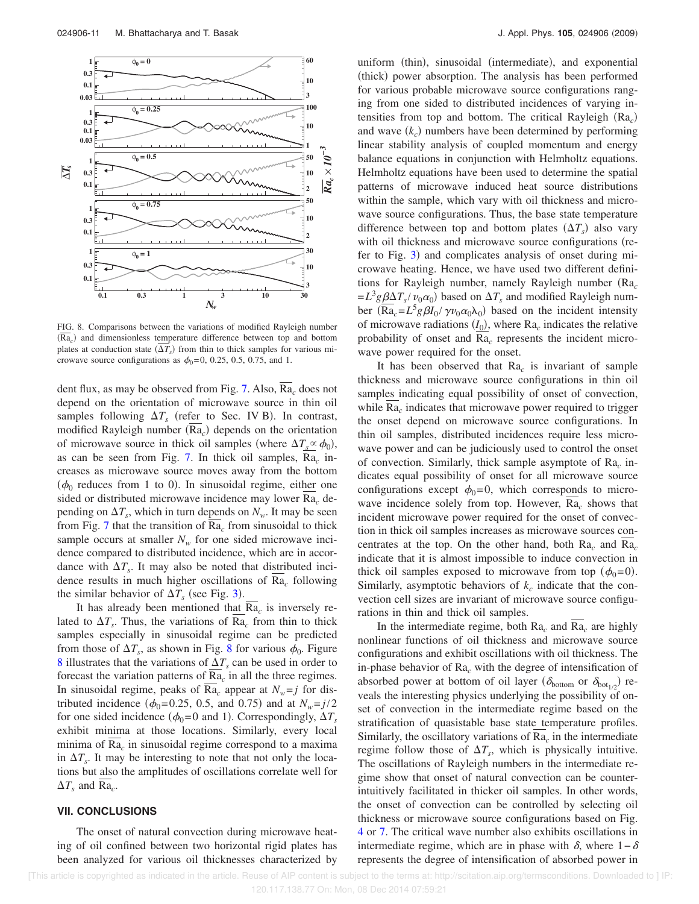

FIG. 8. Comparisons between the variations of modified Rayleigh number (Ra<sub>c</sub>) and dimensionless temperature difference between top and bottom plates at conduction state  $(\Delta T_s)$  from thin to thick samples for various microwave source configurations as  $\phi_0=0$ , 0.25, 0.5, 0.75, and 1.

dent flux, as may be observed from Fig. 7. Also, Ra*<sup>c</sup>* does not depend on the orientation of microwave source in thin oil samples following  $\Delta T_s$  (refer to Sec. IV B). In contrast, modified Rayleigh number (Ra<sub>c</sub>) depends on the orientation of microwave source in thick oil samples (where  $\Delta T_s \propto \phi_0$ ), as can be seen from Fig. 7. In thick oil samples, Ra*<sup>c</sup>* increases as microwave source moves away from the bottom  $(\phi_0$  reduces from 1 to 0). In sinusoidal regime, either one sided or distributed microwave incidence may lower Ra*<sup>c</sup>* depending on  $\Delta T_s$ , which in turn depends on  $N_w$ . It may be seen from Fig. 7 that the transition of Ra*<sup>c</sup>* from sinusoidal to thick sample occurs at smaller  $N_w$  for one sided microwave incidence compared to distributed incidence, which are in accordance with  $\Delta T_s$ . It may also be noted that distributed incidence results in much higher oscillations of Ra*<sup>c</sup>* following the similar behavior of  $\Delta T_s$  (see Fig. 3).

It has already been mentioned that Ra*<sup>c</sup>* is inversely related to  $\Delta T_s$ . Thus, the variations of Ra<sub>c</sub> from thin to thick samples especially in sinusoidal regime can be predicted from those of  $\Delta T_s$ , as shown in Fig. 8 for various  $\phi_0$ . Figure 8 illustrates that the variations of  $\Delta T_s$  can be used in order to forecast the variation patterns of  $\underline{Ra}_c$  in all the three regimes. In sinusoidal regime, peaks of Ra<sub>c</sub> appear at  $N_w = j$  for distributed incidence ( $\phi_0$ =0.25, 0.5, and 0.75) and at  $N_w = j/2$ for one sided incidence ( $\phi_0$ =0 and 1). Correspondingly,  $\Delta T_s$ exhibit minima at those locations. Similarly, every local minima of Ra*<sup>c</sup>* in sinusoidal regime correspond to a maxima in  $\Delta T_s$ . It may be interesting to note that not only the locations but also the amplitudes of oscillations correlate well for  $\Delta T_s$  and Ra<sub>c</sub>.

## **VII. CONCLUSIONS**

The onset of natural convection during microwave heating of oil confined between two horizontal rigid plates has been analyzed for various oil thicknesses characterized by

uniform (thin), sinusoidal (intermediate), and exponential (thick) power absorption. The analysis has been performed for various probable microwave source configurations ranging from one sided to distributed incidences of varying intensities from top and bottom. The critical Rayleigh  $(Ra_c)$ and wave  $(k_c)$  numbers have been determined by performing linear stability analysis of coupled momentum and energy balance equations in conjunction with Helmholtz equations. Helmholtz equations have been used to determine the spatial patterns of microwave induced heat source distributions within the sample, which vary with oil thickness and microwave source configurations. Thus, the base state temperature difference between top and bottom plates  $(\Delta T_s)$  also vary with oil thickness and microwave source configurations (refer to Fig. 3) and complicates analysis of onset during microwave heating. Hence, we have used two different definitions for Rayleigh number, namely Rayleigh number (Ra<sub>c</sub>  $=L^3 g \underline{\beta} \Delta T_s / \nu_0 \alpha_0$  based on  $\Delta T_s$  and modified Rayleigh number  $(\overline{\text{Ra}}_c = L^5 g \beta I_0 / \gamma \nu_0 \alpha_0 \lambda_0)$  based on the incident intensity of microwave radiations  $(I_0)$ , where  $Ra_c$  indicates the relative probability of onset and Ra*<sup>c</sup>* represents the incident microwave power required for the onset.

It has been observed that Ra*<sup>c</sup>* is invariant of sample thickness and microwave source configurations in thin oil samples indicating equal possibility of onset of convection, while Ra*<sup>c</sup>* indicates that microwave power required to trigger the onset depend on microwave source configurations. In thin oil samples, distributed incidences require less microwave power and can be judiciously used to control the onset of convection. Similarly, thick sample asymptote of Ra*<sup>c</sup>* indicates equal possibility of onset for all microwave source configurations except  $\phi_0=0$ , which corresponds to microwave incidence solely from top. However, Ra*<sup>c</sup>* shows that incident microwave power required for the onset of convection in thick oil samples increases as microwave sources concentrates at the top. On the other hand, both Ra*<sup>c</sup>* and Ra*<sup>c</sup>* indicate that it is almost impossible to induce convection in thick oil samples exposed to microwave from top  $(\phi_0=0)$ . Similarly, asymptotic behaviors of  $k_c$  indicate that the convection cell sizes are invariant of microwave source configurations in thin and thick oil samples.

In the intermediate regime, both Ra*<sup>c</sup>* and Ra*<sup>c</sup>* are highly nonlinear functions of oil thickness and microwave source configurations and exhibit oscillations with oil thickness. The in-phase behavior of Ra*<sup>c</sup>* with the degree of intensification of absorbed power at bottom of oil layer ( $\delta_{\text{bottom}}$  or  $\delta_{\text{bot}_{1/2}}$ ) reveals the interesting physics underlying the possibility of onset of convection in the intermediate regime based on the stratification of quasistable base state temperature profiles. Similarly, the oscillatory variations of  $Ra<sub>c</sub>$  in the intermediate regime follow those of  $\Delta T_s$ , which is physically intuitive. The oscillations of Rayleigh numbers in the intermediate regime show that onset of natural convection can be counterintuitively facilitated in thicker oil samples. In other words, the onset of convection can be controlled by selecting oil thickness or microwave source configurations based on Fig. 4 or 7. The critical wave number also exhibits oscillations in intermediate regime, which are in phase with  $\delta$ , where 1– $\delta$ represents the degree of intensification of absorbed power in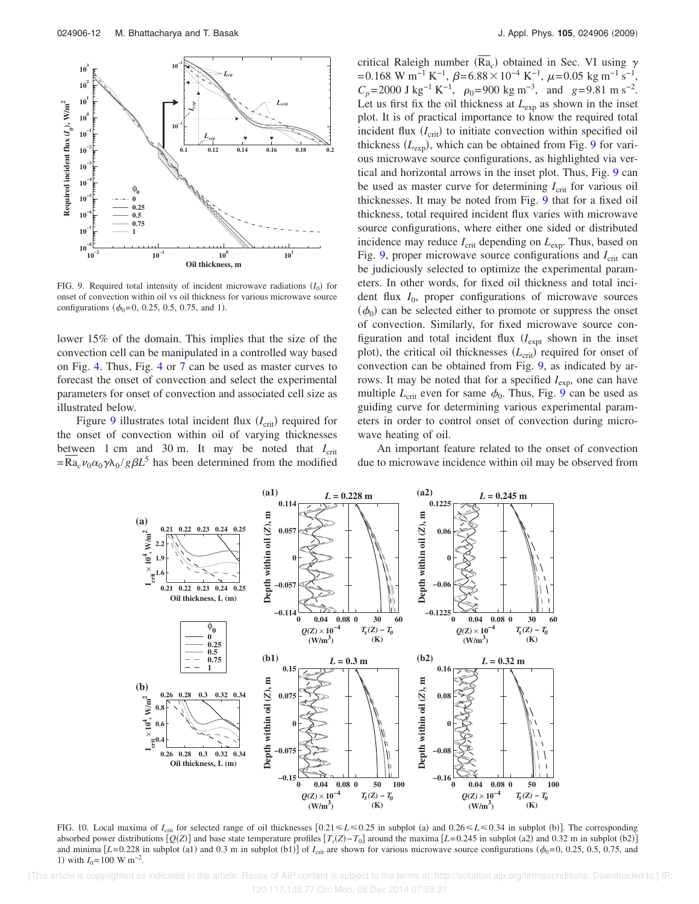

FIG. 9. Required total intensity of incident microwave radiations  $(I_0)$  for onset of convection within oil vs oil thickness for various microwave source configurations ( $\phi_0 = 0$ , 0.25, 0.5, 0.75, and 1).

lower 15% of the domain. This implies that the size of the convection cell can be manipulated in a controlled way based on Fig. 4. Thus, Fig. 4 or 7 can be used as master curves to forecast the onset of convection and select the experimental parameters for onset of convection and associated cell size as illustrated below.

Figure  $9$  illustrates total incident flux  $(I_{\text{crit}})$  required for the onset of convection within oil of varying thicknesses between 1 cm and 30 m. It may be noted that  $I_{\rm crit}$  $=\overline{\text{Ra}}_c \nu_0 \alpha_0 \gamma \lambda_0 / g \beta L^5$  has been determined from the modified

critical Raleigh number  $(Ra_c)$  obtained in Sec. VI using  $\gamma$  $= 0.168$  W m<sup>-1</sup> K<sup>-1</sup>,  $\beta = 6.88 \times 10^{-4}$  K<sup>-1</sup>,  $\mu = 0.05$  kg m<sup>-1</sup> s<sup>-1</sup>,  $C_p$ =2000 J kg<sup>-1</sup> K<sup>-1</sup>,  $\rho_0$ =900 kg m<sup>-3</sup>, and *g*=9.81 m s<sup>-2</sup>. Let us first fix the oil thickness at  $L_{\text{exp}}$  as shown in the inset plot. It is of practical importance to know the required total incident flux  $(I_{\text{crit}})$  to initiate convection within specified oil thickness  $(L_{\text{exp}})$ , which can be obtained from Fig. 9 for various microwave source configurations, as highlighted via vertical and horizontal arrows in the inset plot. Thus, Fig. 9 can be used as master curve for determining *I*<sub>crit</sub> for various oil thicknesses. It may be noted from Fig. 9 that for a fixed oil thickness, total required incident flux varies with microwave source configurations, where either one sided or distributed incidence may reduce  $I_{\text{crit}}$  depending on  $L_{\text{exp}}$ . Thus, based on Fig. 9, proper microwave source configurations and  $I_{\text{crit}}$  can be judiciously selected to optimize the experimental parameters. In other words, for fixed oil thickness and total incident flux *I*<sup>0</sup> , proper configurations of microwave sources  $(\phi_0)$  can be selected either to promote or suppress the onset of convection. Similarly, for fixed microwave source configuration and total incident flux (*I<sub>expt</sub>* shown in the inset plot), the critical oil thicknesses ( $L_{\text{crit}}$ ) required for onset of convection can be obtained from Fig. 9, as indicated by arrows. It may be noted that for a specified  $I_{\text{exp}}$ , one can have multiple  $L_{\text{crit}}$  even for same  $\phi_0$ . Thus, Fig. 9 can be used as guiding curve for determining various experimental parameters in order to control onset of convection during microwave heating of oil.

An important feature related to the onset of convection due to microwave incidence within oil may be observed from



FIG. 10. Local maxima of  $I_{\text{crit}}$  for selected range of oil thicknesses  $[0.21 \le L \le 0.25$  in subplot (a) and  $0.26 \le L \le 0.34$  in subplot (b)]. The corresponding absorbed power distributions  $[Q(Z)]$  and base state temperature profiles  $[T_s(Z) - T_0]$  around the maxima  $[L=0.245$  in subplot (a2) and 0.32 m in subplot (b2) and minima  $[L=0.228$  in subplot (a1) and 0.3 m in subplot (b1)] of  $I_{\text{crit}}$  are shown for various microwave source configurations ( $\phi_0$ =0, 0.25, 0.5, 0.75, and 1) with  $I_0$ =100 W m<sup>-2</sup>.